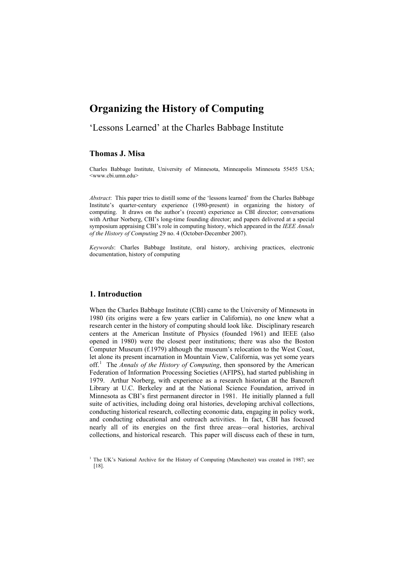# **Organizing the History of Computing**

'Lessons Learned' at the Charles Babbage Institute

#### **Thomas J. Misa**

Charles Babbage Institute, University of Minnesota, Minneapolis Minnesota 55455 USA; <www.cbi.umn.edu>

*Abstract*: This paper tries to distill some of the 'lessons learned' from the Charles Babbage Institute's quarter-century experience (1980-present) in organizing the history of computing. It draws on the author's (recent) experience as CBI director; conversations with Arthur Norberg, CBI's long-time founding director; and papers delivered at a special symposium appraising CBI's role in computing history, which appeared in the *IEEE Annals of the History of Computing* 29 no. 4 (October-December 2007).

*Keywords*: Charles Babbage Institute, oral history, archiving practices, electronic documentation, history of computing

### **1. Introduction**

When the Charles Babbage Institute (CBI) came to the University of Minnesota in 1980 (its origins were a few years earlier in California), no one knew what a research center in the history of computing should look like. Disciplinary research centers at the American Institute of Physics (founded 1961) and IEEE (also opened in 1980) were the closest peer institutions; there was also the Boston Computer Museum (f.1979) although the museum's relocation to the West Coast, let alone its present incarnation in Mountain View, California, was yet some years off.<sup>[1](#page-0-0)</sup> The *Annals of the History of Computing*, then sponsored by the American Federation of Information Processing Societies (AFIPS), had started publishing in 1979. Arthur Norberg, with experience as a research historian at the Bancroft Library at U.C. Berkeley and at the National Science Foundation, arrived in Minnesota as CBI's first permanent director in 1981. He initially planned a full suite of activities, including doing oral histories, developing archival collections, conducting historical research, collecting economic data, engaging in policy work, and conducting educational and outreach activities. In fact, CBI has focused nearly all of its energies on the first three areas—oral histories, archival collections, and historical research. This paper will discuss each of these in turn,

<span id="page-0-5"></span><span id="page-0-4"></span><span id="page-0-3"></span><span id="page-0-2"></span><span id="page-0-1"></span><span id="page-0-0"></span><sup>&</sup>lt;sup>1</sup> The UK's National Archive for the History of Computing (Manchester) was created in 1987; see [18].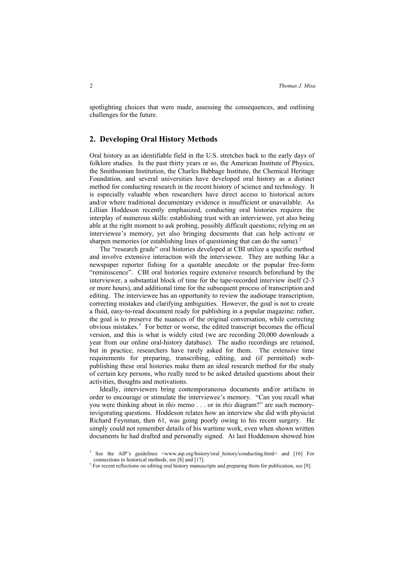spotlighting choices that were made, assessing the consequences, and outlining challenges for the future.

## **2. Developing Oral History Methods**

Oral history as an identifiable field in the U.S. stretches back to the early days of folklore studies. In the past thirty years or so, the American Institute of Physics, the Smithsonian Institution, the Charles Babbage Institute, the Chemical Heritage Foundation, and several universities have developed oral history as a distinct method for conducting research in the recent history of science and technology. It is especially valuable when researchers have direct access to historical actors and/or where traditional documentary evidence is insufficient or unavailable. As Lillian Hoddeson recently emphasized, conducting oral histories requires the interplay of numerous skills: establishing trust with an interviewee, yet also being able at the right moment to ask probing, possibly difficult questions; relying on an interviewee's memory, yet also bringing documents that can help activate or sharpen memories (or establishing lines of questioning that can do the same).<sup>[2](#page-0-1)</sup>

The "research grade" oral histories developed at CBI utilize a specific method and involve extensive interaction with the interviewee. They are nothing like a newspaper reporter fishing for a quotable anecdote or the popular free-form "reminiscence". CBI oral histories require extensive research beforehand by the interviewer, a substantial block of time for the tape-recorded interview itself (2-3 or more hours), and additional time for the subsequent process of transcription and editing. The interviewee has an opportunity to review the audiotape transcription, correcting mistakes and clarifying ambiguities. However, the goal is not to create a fluid, easy-to-read document ready for publishing in a popular magazine; rather, the goal is to preserve the nuances of the original conversation, while correcting obvious mistakes.<sup>[3](#page-0-2)</sup> For better or worse, the edited transcript becomes the official version, and this is what is widely cited (we are recording 20,000 downloads a year from our online oral-history database). The audio recordings are retained, but in practice, researchers have rarely asked for them. The extensive time requirements for preparing, transcribing, editing, and (if permitted) webpublishing these oral histories make them an ideal research method for the study of certain key persons, who really need to be asked detailed questions about their activities, thoughts and motivations.

Ideally, interviewers bring contemporaneous documents and/or artifacts in order to encourage or stimulate the interviewee's memory. "Can you recall what you were thinking about in *this* memo . . . or in *this* diagram?" are such memoryinvigorating questions. Hoddeson relates how an interview she did with physicist Richard Feynman, then 61, was going poorly owing to his recent surgery. He simply could not remember details of his wartime work, even when shown written documents he had drafted and personally signed. At last Hoddenson showed him

<sup>&</sup>lt;sup>2</sup> See the AIP's guidelines <www.aip.org/history/oral\_history/conducting.html> and [16] For connections to historical methods, see  $[8]$  and  $[17]$ .

For recent reflections on editing oral history manuscripts and preparing them for publication, see [9].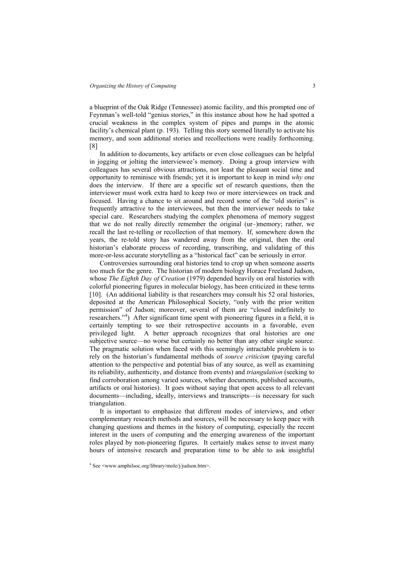a blueprint of the Oak Ridge (Tennessee) atomic facility, and this prompted one of Feynman's well-told "genius stories," in this instance about how he had spotted a crucial weakness in the complex system of pipes and pumps in the atomic facility's chemical plant (p. 193). Telling this story seemed literally to activate his memory, and soon additional stories and recollections were readily forthcoming. [8]

In addition to documents, key artifacts or even close colleagues can be helpful in jogging or jolting the interviewee's memory. Doing a group interview with colleagues has several obvious attractions, not least the pleasant social time and opportunity to reminisce with friends; yet it is important to keep in mind *why* one does the interview. If there are a specific set of research questions, then the interviewer must work extra hard to keep two or more interviewees on track and focused. Having a chance to sit around and record some of the "old stories" is frequently attractive to the interviewees, but then the interviewer needs to take special care. Researchers studying the complex phenomena of memory suggest that we do not really directly remember the original (ur–)memory; rather, we recall the last re-telling or recollection of that memory. If, somewhere down the years, the re-told story has wandered away from the original, then the oral historian's elaborate process of recording, transcribing, and validating of this more-or-less accurate storytelling as a "historical fact" can be seriously in error.

Controversies surrounding oral histories tend to crop up when someone asserts too much for the genre. The historian of modern biology Horace Freeland Judson, whose *The Eighth Day of Creation* (1979) depended heavily on oral histories with colorful pioneering figures in molecular biology, has been criticized in these terms [10]. (An additional liability is that researchers may consult his 52 oral histories, deposited at the American Philosophical Society, "only with the prior written permission" of Judson; moreover, several of them are "closed indefinitely to researchers."<sup>[4](#page-0-2)</sup>) After significant time spent with pioneering figures in a field, it is certainly tempting to see their retrospective accounts in a favorable, even privileged light. A better approach recognizes that oral histories are one subjective source—no worse but certainly no better than any other single source. The pragmatic solution when faced with this seemingly intractable problem is to rely on the historian's fundamental methods of *source criticism* (paying careful attention to the perspective and potential bias of any source, as well as examining its reliability, authenticity, and distance from events) and *triangulation* (seeking to find corroboration among varied sources, whether documents, published accounts, artifacts or oral histories). It goes without saying that open access to all relevant documents—including, ideally, interviews and transcripts—is necessary for such triangulation.

It is important to emphasize that different modes of interviews, and other complementary research methods and sources, will be necessary to keep pace with changing questions and themes in the history of computing, especially the recent interest in the users of computing and the emerging awareness of the important roles played by non-pioneering figures. It certainly makes sense to invest many hours of intensive research and preparation time to be able to ask insightful

<sup>4</sup> See <www.amphilsoc.org/library/mole/j/judson.htm>.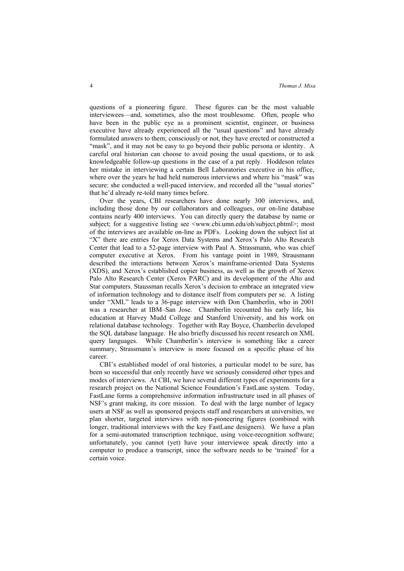questions of a pioneering figure. These figures can be the most valuable interviewees—and, sometimes, also the most troublesome. Often, people who have been in the public eye as a prominent scientist, engineer, or business executive have already experienced all the "usual questions" and have already formulated answers to them; consciously or not, they have erected or constructed a "mask", and it may not be easy to go beyond their public persona or identity. A careful oral historian can choose to avoid posing the usual questions, or to ask knowledgeable follow-up questions in the case of a pat reply. Hoddeson relates her mistake in interviewing a certain Bell Laboratories executive in his office, where over the years he had held numerous interviews and where his "mask" was secure: she conducted a well-paced interview, and recorded all the "usual stories" that he'd already re-told many times before.

Over the years, CBI researchers have done nearly 300 interviews, and, including those done by our collaborators and colleagues, our on-line database contains nearly 400 interviews. You can directly query the database by name or subject; for a suggestive listing see  $\leq$ www.cbi.umn.edu/oh/subject.phtml>; most of the interviews are available on-line as PDFs. Looking down the subject list at "X" there are entries for Xerox Data Systems and Xerox's Palo Alto Research Center that lead to a 52-page interview with Paul A. Strassmann, who was chief computer executive at Xerox. From his vantage point in 1989, Strausmann described the interactions between Xerox's mainframe-oriented Data Systems (XDS), and Xerox's established copier business, as well as the growth of Xerox Palo Alto Research Center (Xerox PARC) and its development of the Alto and Star computers. Staussman recalls Xerox's decision to embrace an integrated view of information technology and to distance itself from computers per se. A listing under "XML" leads to a 36-page interview with Don Chamberlin, who in 2001 was a researcher at IBM–San Jose. Chamberlin recounted his early life, his education at Harvey Mudd College and Stanford University, and his work on relational database technology. Together with Ray Boyce, Chamberlin developed the SQL database language. He also briefly discussed his recent research on XML query languages. While Chamberlin's interview is something like a career summary, Strassmann's interview is more focused on a specific phase of his career.

CBI's established model of oral histories, a particular model to be sure, has been so successful that only recently have we seriously considered other types and modes of interviews. At CBI, we have several different types of experiments for a research project on the National Science Foundation's FastLane system. Today, FastLane forms a comprehensive information infrastructure used in all phases of NSF's grant making, its core mission. To deal with the large number of legacy users at NSF as well as sponsored projects staff and researchers at universities, we plan shorter, targeted interviews with non-pioneering figures (combined with longer, traditional interviews with the key FastLane designers). We have a plan for a semi-automated transcription technique, using voice-recognition software; unfortunately, you cannot (yet) have your interviewee speak directly into a computer to produce a transcript, since the software needs to be 'trained' for a certain voice.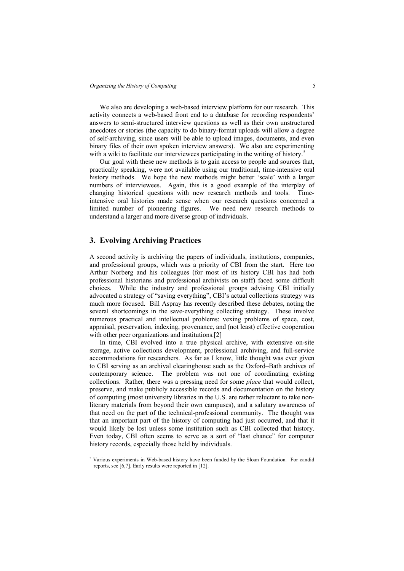We also are developing a web-based interview platform for our research. This activity connects a web-based front end to a database for recording respondents' answers to semi-structured interview questions as well as their own unstructured anecdotes or stories (the capacity to do binary-format uploads will allow a degree of self-archiving, since users will be able to upload images, documents, and even binary files of their own spoken interview answers). We also are experimenting with a wiki to facilitate our interviewees participating in the writing of history.<sup>[5](#page-0-0)</sup>

Our goal with these new methods is to gain access to people and sources that, practically speaking, were not available using our traditional, time-intensive oral history methods. We hope the new methods might better 'scale' with a larger numbers of interviewees. Again, this is a good example of the interplay of changing historical questions with new research methods and tools. Timeintensive oral histories made sense when our research questions concerned a limited number of pioneering figures. We need new research methods to understand a larger and more diverse group of individuals.

#### **3. Evolving Archiving Practices**

A second activity is archiving the papers of individuals, institutions, companies, and professional groups, which was a priority of CBI from the start. Here too Arthur Norberg and his colleagues (for most of its history CBI has had both professional historians and professional archivists on staff) faced some difficult choices. While the industry and professional groups advising CBI initially advocated a strategy of "saving everything", CBI's actual collections strategy was much more focused. Bill Aspray has recently described these debates, noting the several shortcomings in the save-everything collecting strategy. These involve numerous practical and intellectual problems: vexing problems of space, cost, appraisal, preservation, indexing, provenance, and (not least) effective cooperation with other peer organizations and institutions.<sup>[2]</sup>

In time, CBI evolved into a true physical archive, with extensive on-site storage, active collections development, professional archiving, and full-service accommodations for researchers. As far as I know, little thought was ever given to CBI serving as an archival clearinghouse such as the Oxford–Bath archives of contemporary science. The problem was not one of coordinating existing collections. Rather, there was a pressing need for some *place* that would collect, preserve, and make publicly accessible records and documentation on the history of computing (most university libraries in the U.S. are rather reluctant to take nonliterary materials from beyond their own campuses), and a salutary awareness of that need on the part of the technical-professional community. The thought was that an important part of the history of computing had just occurred, and that it would likely be lost unless some institution such as CBI collected that history. Even today, CBI often seems to serve as a sort of "last chance" for computer history records, especially those held by individuals.

<sup>5</sup> Various experiments in Web-based history have been funded by the Sloan Foundation. For candid reports, see [6,7]. Early results were reported in [12].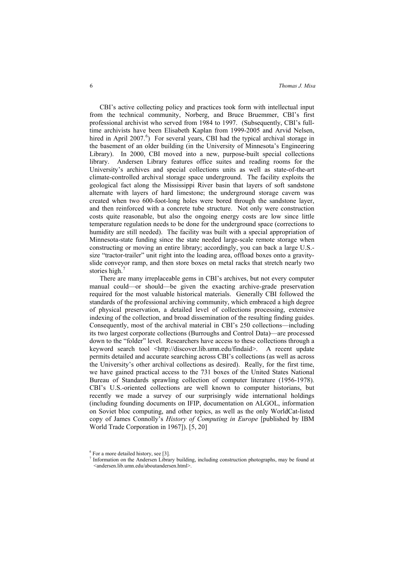CBI's active collecting policy and practices took form with intellectual input from the technical community, Norberg, and Bruce Bruemmer, CBI's first professional archivist who served from 1984 to 1997. (Subsequently, CBI's fulltime archivists have been Elisabeth Kaplan from 1999-2005 and Arvid Nelsen, hired in April 2007.<sup>[6](#page-0-1)</sup>) For several years, CBI had the typical archival storage in the basement of an older building (in the University of Minnesota's Engineering Library). In 2000, CBI moved into a new, purpose-built special collections library. Andersen Library features office suites and reading rooms for the University's archives and special collections units as well as state-of-the-art climate-controlled archival storage space underground. The facility exploits the geological fact along the Mississippi River basin that layers of soft sandstone alternate with layers of hard limestone; the underground storage cavern was created when two 600-foot-long holes were bored through the sandstone layer, and then reinforced with a concrete tube structure. Not only were construction costs quite reasonable, but also the ongoing energy costs are low since little temperature regulation needs to be done for the underground space (corrections to humidity are still needed). The facility was built with a special appropriation of Minnesota-state funding since the state needed large-scale remote storage when constructing or moving an entire library; accordingly, you can back a large U.S. size "tractor-trailer" unit right into the loading area, offload boxes onto a gravityslide conveyor ramp, and then store boxes on metal racks that stretch nearly two stories high.<sup>[7](#page-0-0)</sup>

There are many irreplaceable gems in CBI's archives, but not every computer manual could—or should—be given the exacting archive-grade preservation required for the most valuable historical materials. Generally CBI followed the standards of the professional archiving community, which embraced a high degree of physical preservation, a detailed level of collections processing, extensive indexing of the collection, and broad dissemination of the resulting finding guides. Consequently, most of the archival material in CBI's 250 collections—including its two largest corporate collections (Burroughs and Control Data)—are processed down to the "folder" level. Researchers have access to these collections through a keyword search tool <http://discover.lib.umn.edu/findaid>. A recent update permits detailed and accurate searching across CBI's collections (as well as across the University's other archival collections as desired). Really, for the first time, we have gained practical access to the 731 boxes of the United States National Bureau of Standards sprawling collection of computer literature (1956-1978). CBI's U.S.-oriented collections are well known to computer historians, but recently we made a survey of our surprisingly wide international holdings (including founding documents on IFIP, documentation on ALGOL, information on Soviet bloc computing, and other topics, as well as the only WorldCat-listed copy of James Connolly's *History of Computing in Europe* [published by IBM World Trade Corporation in 1967]). [5, 20]

<sup>6</sup> For a more detailed history, see [3].

<sup>7</sup> Information on the Andersen Library building, including construction photographs, may be found at <andersen.lib.umn.edu/aboutandersen.html>.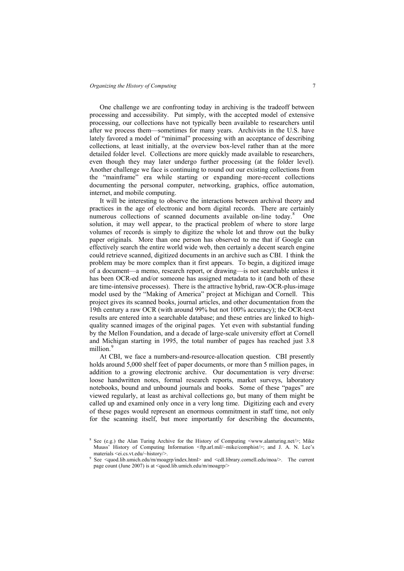#### *Organizing the History of Computing* 7

One challenge we are confronting today in archiving is the tradeoff between processing and accessibility. Put simply, with the accepted model of extensive processing, our collections have not typically been available to researchers until after we process them—sometimes for many years. Archivists in the U.S. have lately favored a model of "minimal" processing with an acceptance of describing collections, at least initially, at the overview box-level rather than at the more detailed folder level. Collections are more quickly made available to researchers, even though they may later undergo further processing (at the folder level). Another challenge we face is continuing to round out our existing collections from the "mainframe" era while starting or expanding more-recent collections documenting the personal computer, networking, graphics, office automation, internet, and mobile computing.

It will be interesting to observe the interactions between archival theory and practices in the age of electronic and born digital records. There are certainly numerous collections of scanned documents available on-line today.<sup>[8](#page-0-3)</sup> One solution, it may well appear, to the practical problem of where to store large volumes of records is simply to digitize the whole lot and throw out the bulky paper originals. More than one person has observed to me that if Google can effectively search the entire world wide web, then certainly a decent search engine could retrieve scanned, digitized documents in an archive such as CBI. I think the problem may be more complex than it first appears. To begin, a digitized image of a document—a memo, research report, or drawing—is not searchable unless it has been OCR-ed and/or someone has assigned metadata to it (and both of these are time-intensive processes). There is the attractive hybrid, raw-OCR-plus-image model used by the "Making of America" project at Michigan and Cornell. This project gives its scanned books, journal articles, and other documentation from the 19th century a raw OCR (with around 99% but not 100% accuracy); the OCR-text results are entered into a searchable database; and these entries are linked to highquality scanned images of the original pages. Yet even with substantial funding by the Mellon Foundation, and a decade of large-scale university effort at Cornell and Michigan starting in 1995, the total number of pages has reached just 3.8 million.<sup>[9](#page-0-0)</sup>

At CBI, we face a numbers-and-resource-allocation question. CBI presently holds around 5,000 shelf feet of paper documents, or more than 5 million pages, in addition to a growing electronic archive. Our documentation is very diverse: loose handwritten notes, formal research reports, market surveys, laboratory notebooks, bound and unbound journals and books. Some of these "pages" are viewed regularly, at least as archival collections go, but many of them might be called up and examined only once in a very long time. Digitizing each and every of these pages would represent an enormous commitment in staff time, not only for the scanning itself, but more importantly for describing the documents,

<sup>&</sup>lt;sup>8</sup> See (e.g.) the Alan Turing Archive for the History of Computing  $\langle$ www.alanturing.net $\rangle$ ; Mike Muuss' History of Computing Information <ftp.arl.mil/~mike/comphist/>; and J. A. N. Lee's materials <ei.cs.vt.edu/~history/>. 9

See <quod.lib.umich.edu/m/moagrp/index.html> and <cdl.library.cornell.edu/moa/>. The current page count (June 2007) is at <quod.lib.umich.edu/m/moagrp/>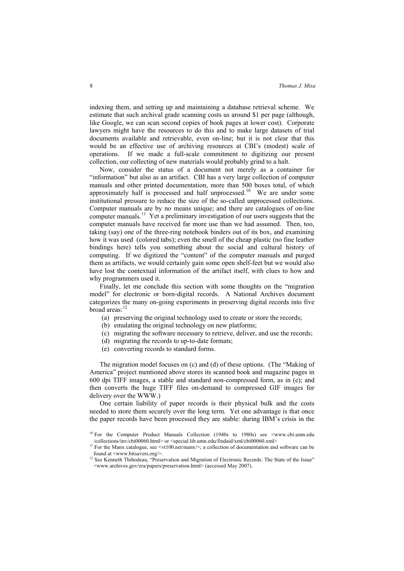indexing them, and setting up and maintaining a database retrieval scheme. We estimate that such archival grade scanning costs us around \$1 per page (although, like Google, we can scan second copies of book pages at lower cost). Corporate lawyers might have the resources to do this and to make large datasets of trial documents available and retrievable, even on-line; but it is not clear that this would be an effective use of archiving resources at CBI's (modest) scale of operations. If we made a full-scale commitment to digitizing our present collection, our collecting of new materials would probably grind to a halt.

Now, consider the status of a document not merely as a container for "information" but also as an artifact. CBI has a very large collection of computer manuals and other printed documentation, more than 500 boxes total, of which approximately half is processed and half unprocessed.<sup>[1](#page-0-4)0</sup> We are under some institutional pressure to reduce the size of the so-called unprocessed collections. Computer manuals are by no means unique; and there are catalogues of on-line computer manuals.[11](#page-0-5) Yet a preliminary investigation of our users suggests that the computer manuals have received far more use than we had assumed. Then, too, taking (say) one of the three-ring notebook binders out of its box, and examining how it was used (colored tabs); even the smell of the cheap plastic (no fine leather bindings here) tells you something about the social and cultural history of computing. If we digitized the "content" of the computer manuals and purged them as artifacts, we would certainly gain some open shelf-feet but we would also have lost the contextual information of the artifact itself, with clues to how and why programmers used it.

Finally, let me conclude this section with some thoughts on the "migration model" for electronic or born-digital records. A National Archives document categorizes the many on-going experiments in preserving digital records into five broad areas:<sup>[1](#page-0-0)2</sup>

- (a) preserving the original technology used to create or store the records;
- (b) emulating the original technology on new platforms;
- (c) migrating the software necessary to retrieve, deliver, and use the records;
- (d) migrating the records to up-to-date formats;
- (e) converting records to standard forms.

The migration model focuses on (c) and (d) of these options. (The "Making of America" project mentioned above stores its scanned book and magazine pages in 600 dpi TIFF images, a stable and standard non-compressed form, as in (e); and then converts the huge TIFF files on-demand to compressed GIF images for delivery over the WWW.)

One certain liability of paper records is their physical bulk and the costs needed to store them securely over the long term. Yet one advantage is that once the paper records have been processed they are stable: during IBM's crisis in the

<sup>&</sup>lt;sup>10</sup> For the Computer Product Manuals Collection (1940s to 1980s) see <www.cbi.umn.edu

<sup>/</sup>collections/inv/cbi00060.html> or <special.lib.umn.edu/findaid/xml/cbi00060.xml><br><sup>11</sup> For the Manx catalogue, see <vt100.net/manx/>; a collection of documentation and software can be found at <www.bitsavers.org/>.

<sup>&</sup>lt;sup>12</sup> See Kenneth Thibodeau, "Preservation and Migration of Electronic Records: The State of the Issue" <www.archives.gov/era/papers/preservation.html> (accessed May 2007).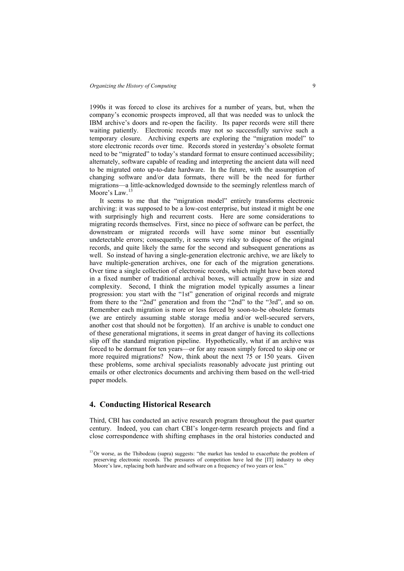1990s it was forced to close its archives for a number of years, but, when the company's economic prospects improved, all that was needed was to unlock the IBM archive's doors and re-open the facility. Its paper records were still there waiting patiently. Electronic records may not so successfully survive such a temporary closure. Archiving experts are exploring the "migration model" to store electronic records over time. Records stored in yesterday's obsolete format need to be "migrated" to today's standard format to ensure continued accessibility; alternately, software capable of reading and interpreting the ancient data will need to be migrated onto up-to-date hardware. In the future, with the assumption of changing software and/or data formats, there will be the need for further migrations—a little-acknowledged downside to the seemingly relentless march of Moore's Law.<sup>[1](#page-0-1)3</sup>

It seems to me that the "migration model" entirely transforms electronic archiving: it was supposed to be a low-cost enterprise, but instead it might be one with surprisingly high and recurrent costs. Here are some considerations to migrating records themselves. First, since no piece of software can be perfect, the downstream or migrated records will have some minor but essentially undetectable errors; consequently, it seems very risky to dispose of the original records, and quite likely the same for the second and subsequent generations as well. So instead of having a single-generation electronic archive, we are likely to have multiple-generation archives, one for each of the migration generations. Over time a single collection of electronic records, which might have been stored in a fixed number of traditional archival boxes, will actually grow in size and complexity. Second, I think the migration model typically assumes a linear progression: you start with the "1st" generation of original records and migrate from there to the "2nd" generation and from the "2nd" to the "3rd", and so on. Remember each migration is more or less forced by soon-to-be obsolete formats (we are entirely assuming stable storage media and/or well-secured servers, another cost that should not be forgotten). If an archive is unable to conduct one of these generational migrations, it seems in great danger of having its collections slip off the standard migration pipeline. Hypothetically, what if an archive was forced to be dormant for ten years—or for any reason simply forced to skip one or more required migrations? Now, think about the next 75 or 150 years. Given these problems, some archival specialists reasonably advocate just printing out emails or other electronics documents and archiving them based on the well-tried paper models.

#### **4. Conducting Historical Research**

Third, CBI has conducted an active research program throughout the past quarter century. Indeed, you can chart CBI's longer-term research projects and find a close correspondence with shifting emphases in the oral histories conducted and

 $<sup>13</sup>$ Or worse, as the Thibodeau (supra) suggests: "the market has tended to exacerbate the problem of</sup> preserving electronic records. The pressures of competition have led the [IT] industry to obey Moore's law, replacing both hardware and software on a frequency of two years or less."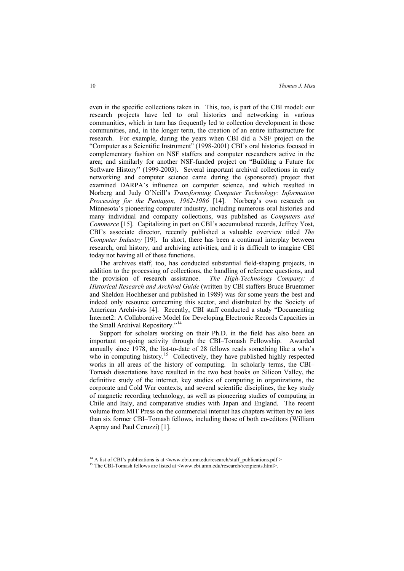even in the specific collections taken in. This, too, is part of the CBI model: our research projects have led to oral histories and networking in various communities, which in turn has frequently led to collection development in those communities, and, in the longer term, the creation of an entire infrastructure for research. For example, during the years when CBI did a NSF project on the "Computer as a Scientific Instrument" (1998-2001) CBI's oral histories focused in complementary fashion on NSF staffers and computer researchers active in the area; and similarly for another NSF-funded project on "Building a Future for Software History" (1999-2003). Several important archival collections in early networking and computer science came during the (sponsored) project that examined DARPA's influence on computer science, and which resulted in Norberg and Judy O'Neill's *Transforming Computer Technology: Information Processing for the Pentagon, 1962-1986* [14]. Norberg's own research on Minnesota's pioneering computer industry, including numerous oral histories and many individual and company collections, was published as *Computers and Commerce* [15]. Capitalizing in part on CBI's accumulated records, Jeffrey Yost, CBI's associate director, recently published a valuable overview titled *The Computer Industry* [19]. In short, there has been a continual interplay between research, oral history, and archiving activities, and it is difficult to imagine CBI today not having all of these functions.

The archives staff, too, has conducted substantial field-shaping projects, in addition to the processing of collections, the handling of reference questions, and the provision of research assistance. *The High-Technology Company: A Historical Research and Archival Guide* (written by CBI staffers Bruce Bruemmer and Sheldon Hochheiser and published in 1989) was for some years the best and indeed only resource concerning this sector, and distributed by the Society of American Archivists [4]. Recently, CBI staff conducted a study "Documenting Internet2: A Collaborative Model for Developing Electronic Records Capacities in the Small Archival Repository."[14](#page-0-0)

Support for scholars working on their Ph.D. in the field has also been an important on-going activity through the CBI–Tomash Fellowship. Awarded annually since 1978, the list-to-date of 28 fellows reads something like a who's who in computing history.<sup>[15](#page-0-2)</sup> Collectively, they have published highly respected works in all areas of the history of computing. In scholarly terms, the CBI– Tomash dissertations have resulted in the two best books on Silicon Valley, the definitive study of the internet, key studies of computing in organizations, the corporate and Cold War contexts, and several scientific disciplines, the key study of magnetic recording technology, as well as pioneering studies of computing in Chile and Italy, and comparative studies with Japan and England. The recent volume from MIT Press on the commercial internet has chapters written by no less than six former CBI–Tomash fellows, including those of both co-editors (William Aspray and Paul Ceruzzi) [1].

<sup>&</sup>lt;sup>14</sup> A list of CBI's publications is at  $\langle$ www.cbi.umn.edu/research/staff\_publications.pdf  $>$ <sup>15</sup> The CBI-Tomash fellows are listed at  $\langle$ www.cbi.umn.edu/research/recipients.html>.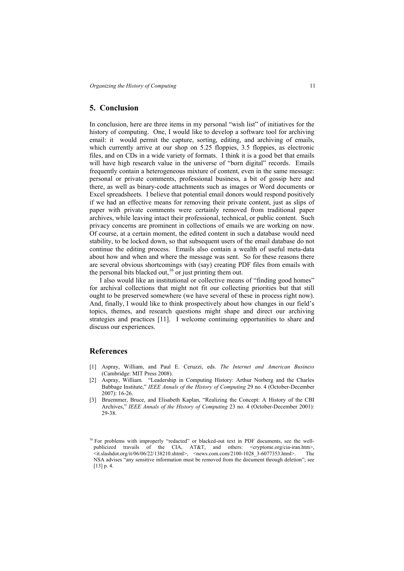#### **5. Conclusion**

In conclusion, here are three items in my personal "wish list" of initiatives for the history of computing. One, I would like to develop a software tool for archiving email: it would permit the capture, sorting, editing, and archiving of emails, which currently arrive at our shop on 5.25 floppies, 3.5 floppies, as electronic files, and on CDs in a wide variety of formats. I think it is a good bet that emails will have high research value in the universe of "born digital" records. Emails frequently contain a heterogeneous mixture of content, even in the same message: personal or private comments, professional business, a bit of gossip here and there, as well as binary-code attachments such as images or Word documents or Excel spreadsheets. I believe that potential email donors would respond positively if we had an effective means for removing their private content, just as slips of paper with private comments were certainly removed from traditional paper archives, while leaving intact their professional, technical, or public content. Such privacy concerns are prominent in collections of emails we are working on now. Of course, at a certain moment, the edited content in such a database would need stability, to be locked down, so that subsequent users of the email database do not continue the editing process. Emails also contain a wealth of useful meta-data about how and when and where the message was sent. So for these reasons there are several obvious shortcomings with (say) creating PDF files from emails with the personal bits blacked out,  $16$  or just printing them out.

I also would like an institutional or collective means of "finding good homes" for archival collections that might not fit our collecting priorities but that still ought to be preserved somewhere (we have several of these in process right now). And, finally, I would like to think prospectively about how changes in our field's topics, themes, and research questions might shape and direct our archiving strategies and practices [11]. I welcome continuing opportunities to share and discuss our experiences.

#### **References**

- [1] Aspray, William, and Paul E. Ceruzzi, eds. *The Internet and American Business* (Cambridge: MIT Press 2008).
- [2] Aspray, William. "Leadership in Computing History: Arthur Norberg and the Charles Babbage Institute," *IEEE Annals of the History of Computing* 29 no. 4 (October-December  $2007$   $16-26$
- [3] Bruemmer, Bruce, and Elisabeth Kaplan, "Realizing the Concept: A History of the CBI Archives," *IEEE Annals of the History of Computing* 23 no. 4 (October-December 2001): 29-38.

<sup>&</sup>lt;sup>16</sup> For problems with improperly "redacted" or blacked-out text in PDF documents, see the wellpublicized travails of the CIA, AT&T, and others: <cryptome.org/cia-iran.htm>,  $\le$ it.slashdot.org/it/06/06/22/138210.shtml>,  $\le$ news.com.com/2100-1028\_3-6077353.html>. The NSA advises "any sensitive information must be removed from the document through deletion"; see [13] p. 4.